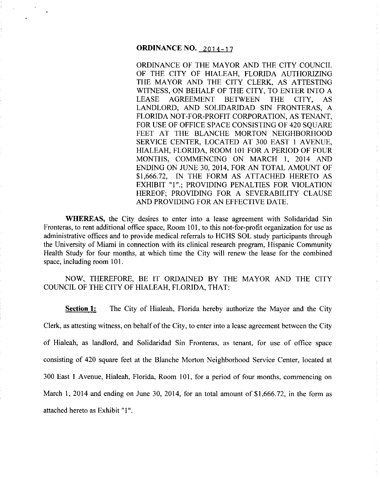# **ORDINANCE NO.** 2014-17

ORDINANCE OF THE MAYOR AND THE CITY COUNCIL OF THE CITY OF HIALEAH, FLORIDA AUTHORIZING THE MAYOR AND THE CITY CLERK, AS ATTESTING WITNESS, ON BEHALF OF THE CITY, TO ENTER INTO A LEASE AGREEMENT BETWEEN THE CITY, AS LANDLORD, AND SOLIDARIDAD SIN FRONTERAS, A FLORIDA NOT-FOR-PROFIT CORPORATION, AS TENANT, FOR USE OF OFFICE SPACE CONSISTING OF 420 SOUARE FEET AT THE BLANCHE MORTON NEIGHBORHOOD SERVICE CENTER, LOCATED AT 300 EAST I AVENUE, HIALEAH, FLORIDA, ROOM 101 FOR A PERIOD OF FOUR MONTHS, COMMENCING ON MARCH I, 2014 AND ENDING ON JUNE 30,2014, FOR AN TOTAL AMOUNT OF \$1,666.72, IN THE FORM AS ATTACHED HERETO AS EXHIBIT "1".; PROVIDING PENALTIES FOR VIOLATION HEREOF; PROVIDING FOR A SEVERABILITY CLAUSE AND PROVIDING FOR AN EFFECTIVE DATE.

**WHEREAS,** the City desires to enter into a lease agreement with Solidaridad Sin Fronteras, to rent additional office space, Room 101, to this not-for-profit organization for use as administrative offices and to provide medical referrals to HCHS SOL study participants through the University of Miami in connection with its clinical research program, Hispanic Community Health Study for four months, at which time the City will renew the lease for the combined space, including room 101.

NOW, THEREFORE, BE IT ORDAINED BY THE MAYOR AND THE CITY COUNCIL OF THE CITY OF HIALEAH, FLORIDA, THAT:

**Section 1:** The City of Hialeah, Florida hereby authorize the Mayor and the City Clerk, as attesting witness, on behalf of the City, to enter into a lease agreement between the City of Hialeah, as landlord, and Solidaridad Sin Fronteras, as tenant, for use of office space consisting of 420 square feet at the Blanche Morton Neighborhood Service Center, located at 300 East I Avenue, Hialeah, Florida, Room 101, for a period of four months, commencing on March I, 2014 and ending on June 30, 2014, for an total amount of \$1,666.72, in the form as attached hereto as Exhibit "I".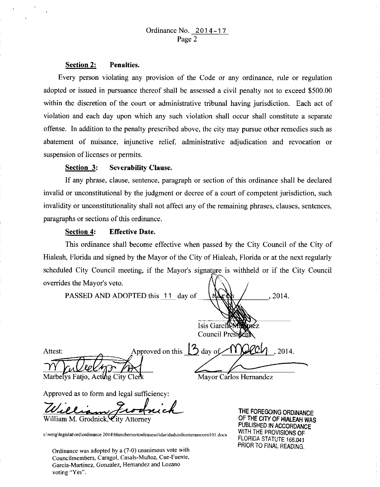#### Section 2: Penalties.

Every person violating any provision of the Code or any ordinance, rule or regulation adopted or issued in pursuance thereof shall be assessed a civil penalty not to exceed \$500.00 within the discretion of the court or administrative tribunal having jurisdiction. Each act of violation and each day upon which any such violation shall occur shall constitute a separate offense. In addition to the penalty prescribed above, the city may pursue other remedies such as abatement of nuisance, injunctive relief, administrative adjudication and revocation or suspension of licenses or permits.

#### Section 3: Severability Clause.

If any phrase, clause, sentence, paragraph or section of this ordinance shall be declared invalid or unconstitutional by the judgment or decree of a court of competent jurisdiction, such invalidity or unconstitutionality shall not affect any of the remaining phrases, clauses, sentences, paragraphs or sections of this ordinance.

#### Section 4: Effective Date.

This ordinance shall become effective when passed by the City Council of the City of Hialeah, Florida and signed by the Mayor of the City of Hialeah, Florida or at the next regularly scheduled City Council meeting, if the Mayor's signature is withheld or if the City Council overrides the Mayor's veto.

PASSED AND ADOPTED this 11 day of 2014. **Isis Garci** Council President Approved on this Attest: day of 2014. Marbelys Fatio, Acting City Clerk Mayor Carlos Hernandez

Approved as to form and legal sufficiency:

William Frodrich

William M. Grodnick,

s:\wmg\legislat\ord\ordinance 2014\blanchemortonleasesolidaridadsinfronterasroom101.docx

Ordinance was adopted by a (7-0) unanimous vote with Councilmembers, Caragol, Casals-Munoz, Cue-Fuente, Garcia-Martinez, Gonzalez, Hernandez and Lozano **voting** ·'Yes".

THE FOREGOING ORDINANCE OF THE CITY OF HIALEAH WAS PUBLISHED IN ACCORDANCE WITH THE PROVISIONS OF FLORIDA STATUTE 166.041 PRIOR TO FINAL READING.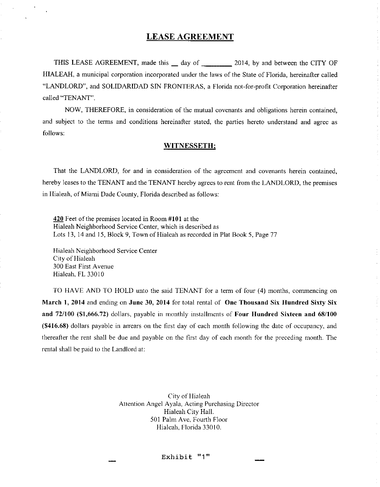#### **LEASE AGREEMENT**

THIS LEASE AGREEMENT, made this \_ day of 2014, by and between the CITY OF HIALEAH, a municipal corporation incorporated under the laws of the State of Florida, hereinafter called "LANDLORD", and SOLIDARIDAD SIN FRONTERAS, a Florida not-for-profit Corporation hereinafter called "TENANT".

NOW, THEREFORE, in consideration of the mutual covenants and obligations herein contained, and subject to the terms and conditions hereinafter stated, the parties hereto understand and agree as follows:

#### **WITNESSETH;**

That the LANDLORD, for and in consideration of the agreement and covenants herein contained, hereby leases to the TENANT and the TENANT hereby agrees to rent from the LANDLORD, the premises in Hialeah, of Miami Dade County, Florida described as follows:

**420** Feet of the premises located in Room **#101** at the Hialeah Neighborhood Service Center, which is described as Lots 13, 14 and 15, Block 9, Town of Hialeah as recorded in Plat Book 5, Page 77

Hialeah Neighborhood Service Center City of Hialeah 300 East First Avenue Hialeah, FL 33010

TO HAVE AND TO HOLD unto the said TENANT for a term of four (4) months, commencing on **March 1, 2014** and ending on **June 30, 2014** for total rental of **One Thousand Six Hundred Sixty Six and 72/100 (\$1,666.72)** dollars, payable in monthly installments of **Four Hundred Sixteen and 68/100 (\$416.68)** dollars payable in arrears on the first day of each month following the date of occupancy, and thereafter the rent shall be due and payable on the first day of each month for the preceding month. The rental shall be paid to the Landlord at:

> City of Hialeah Attention Angel Ayala, Acting Purchasing Director Hialeah City Hall. 501 Palm Ave, Fourth Floor Hialeah, Florida 33010.

> > Exhibit **"1"**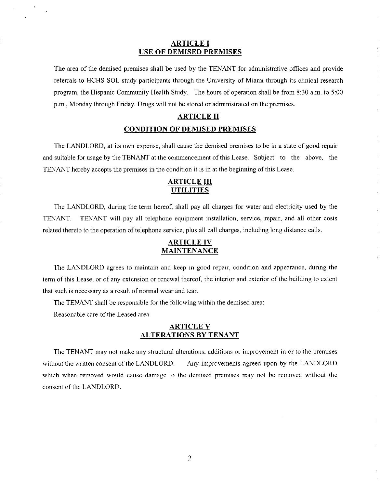#### **ARTICLE I USE OF DEMISED PREMISES**

The area of the demised premises shall be used by the TENANT for administrative offices and provide referrals to HCHS SOL study participants through the University of Miami through its clinical research program, the Hispanic Community Health Study. The hours of operation shall be from 8:30a.m. to 5:00 p.m., Monday through Friday. Drugs will not be stored or administrated on the premises.

#### **ARTICLE II**

#### **CONDITION OF DEMISED PREMISES**

The LANDLORD, at its own expense, shall cause the demised premises to be in a state of good repair and suitable for usage by the TENANT at the commencement of this Lease. Subject to the above, the TENANT hereby accepts the premises in the condition it is in at the beginning of this Lease.

### **ARTICLE III UTILITIES**

The LANDLORD, during the term hereof, shall pay all charges for water and electricity used by the TENANT. TENANT will pay all telephone equipment installation, service, repair, and all other costs related thereto to the operation of telephone service, plus all call charges, including long distance calls.

#### **ARTICLE IV MAINTENANCE**

The LANDLORD agrees to maintain and keep in good repair, condition and appearance, during the term of this Lease, or of any extension or renewal thereof, the interior and exterior of the building to extent that such is necessary as a result of normal wear and tear.

The TENANT shall be responsible for the following within the demised area:

Reasonable care of the Leased area.

#### **ARTICLE V ALTERATIONS BY TENANT**

The TENANT may not make any structural alterations, additions or improvement in or to the premises without the written consent of the LANDLORD. Any improvements agreed upon by the LANDLORD which when removed would cause damage to the demised premises may not be removed without the consent of the LANDLORD.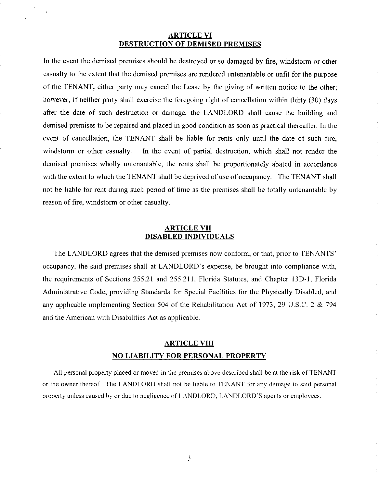#### **ARTICLE VI DESTRUCTION OF DEMISED PREMISES**

In the event the demised premises should be destroyed or so damaged by fire, windstorm or other casualty to the extent that the demised premises are rendered untenantable or unfit for the purpose of the TENANT, either party may cancel the Lease by the giving of written notice to the other; however, if neither party shall exercise the foregoing right of cancellation within thirty (30) days after the date of such destruction or damage, the LANDLORD shall cause the building and demised premises to be repaired and placed in good condition as soon as practical thereafter. In the event of cancellation, the TENANT shall be liable for rents only until the date of such fire, windstorm or other casualty. In the event of partial destruction, which shall not render the demised premises wholly untenantable, the rents shall be proportionately abated in accordance with the extent to which the TENANT shall be deprived of use of occupancy. The TENANT shall not be liable for rent during such period of time as the premises shall be totally untenantable by reason of fire, windstorm or other casualty.

#### **ARTICLE VII DISABLED INDIVIDUALS**

The LANDLORD agrees that the demised premises now conform, or that, prior to TENANTS' occupancy, the said premises shall at LANDLORD's expense, be brought into compliance with, the requirements of Sections 255.21 and 255.211, Florida Statutes, and Chapter l3D-l, Florida Administrative Code, providing Standards for Special Facilities for the Physically Disabled, and any applicable implementing Section 504 of the Rehabilitation Act of 1973, 29 U.S.C. 2 & 794 and the American with Disabilities Act as applicable.

# **ARTICLE VIII NO LIABILITY FOR PERSONAL PROPERTY**

All personal property placed or moved in the premises above described shall be at the risk of TENANT or the owner thereof. The LANDLORD shall not be liable to TENANT for any damage to said personal property unless caused by or due to negligence of LANDLORD. LANDLORD'S agents or employees.

3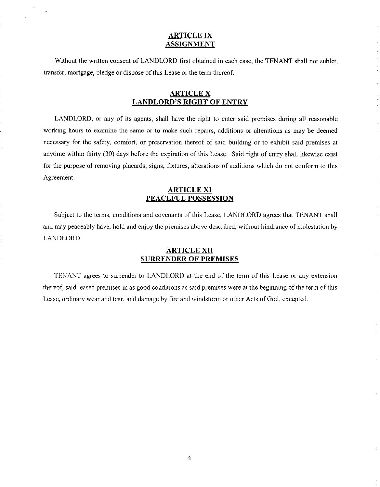#### **ARTICLE IX ASSIGNMENT**

Without the written consent of LANDLORD first obtained in each case, the TENANT shall not sublet, transfer, mortgage, pledge or dispose of this Lease or the term thereof.

#### **ARTICLE X LANDLORD'S RIGHT OF ENTRY**

LANDLORD, or any of its agents, shall have the right to enter said premises during all reasonable working hours to examine the same or to make such repairs, additions or alterations as may be deemed necessary for the safety, comfort, or preservation thereof of said building or to exhibit said premises at anytime within thirty (30) days before the expiration of this Lease. Said right of entry shall likewise exist for the purpose of removing placards, signs, fixtures, alterations of additions which do not conform to this Agreement.

#### **ARTICLE XI PEACEFUL POSSESSION**

Subject to the terms, conditions and covenants of this Lease, LANDLORD agrees that TENANT shall and may peaceably have, hold and enjoy the premises above described, without hindrance of molestation by LANDLORD.

#### **ARTICLE XII SURRENDER OF PREMISES**

TENANT agrees to surrender to LANDLORD at the end of the term of this Lease or any extension thereof, said leased premises in as good conditions as said premises were at the beginning of the term of this Lease, ordinary wear and tear, and damage by fire and windstonn or other Acts of God, excepted.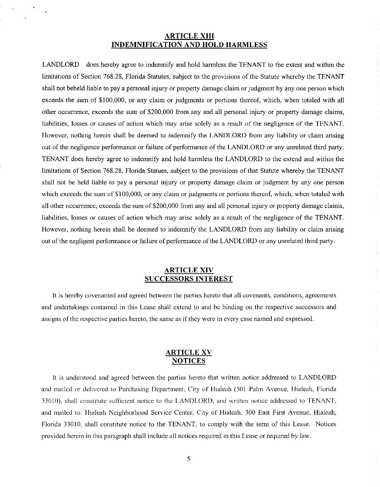#### **ARTICLE XIII INDEMNIFICATION AND HOLD HARMLESS**

LANDLORD does hereby agree to indemnify and hold harmless the TENANT to the extent and within the limitations of Section 768.28, Florida Statutes, subject to the provisions of the Statute whereby the TENANT shall not beheld liable to pay a personal injury or property damage claim or judgment by any one person which exceeds the sum of \$100,000, or any claim or judgments or portions thereof, which, when totaled with all other occurrence, exceeds the sum of \$200,000 from any and all personal injury or property damage claims, liabilities, losses or causes of action which may arise solely as a result of the negligence of the TENANT. However, nothing herein shall be deemed to indemnify the LANDLORD from any liability or claim arising out of the negligence performance or failure of performance of the LANDLORD or any unrelated third party. TENANT does hereby agree to indemnify and hold harmless the LANDLORD to the extend and within the limitations of Section 768.28, Florida Statues, subject to the provisions of that Statute whereby the TENANT shall not be held liable to pay a personal injury or property damage claim or judgment by any one person which exceeds the sum of \$100,000, or any claim or judgments or portions thereof, which, when totaled with all other occurrence, exceeds the sum of \$200,000 from any and all personal injury or property damage claims, liabilities, losses or causes of action which may arise solely as a result of the negligence of the TENANT. However, nothing herein shall be deemed to indemnify the LANDLORD from any liability or claim arising out of the negligent performance or failure of performance of the LANDLORD or any unrelated third party.

#### **ARTICLE XIV SUCCESSORS INTEREST**

It is hereby covenanted and agreed between the parties hereto that all covenants, conditions, agreements and undertakings contained in this Lease shall extend to and be binding on the respective successors and assigns of the respective parties hereto, the same as if they were in every case named and expressed.

#### **ARTICLE XV NOTICES**

It is understood and agreed between the parties hereto that written notice addressed to LANDLORD and mailed or delivered to Purchasing Department, City of Hialeah (501 Palm Avenue, Hialeah, Florida 33010), shall constitute sufticient notice to the LANDLORD, and written notice addressed to TENANT, and mailed to: Hialeah Neighborhood Service Center, City of Hialeah, 300 East First Avenue, Hialeah, Florida 33010. shall constitute notice to the TENANT, to comply with the term of this Lease. Notices provided herein in this paragraph shall include all notices required in this Lease or required by law.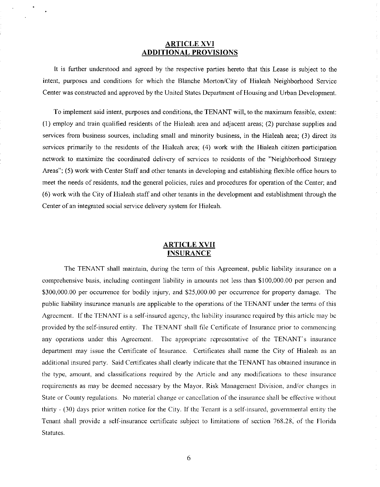#### **ARTICLE XVI ADDITIONAL PROVISIONS**

It is further understood and agreed by the respective parties hereto that this Lease is subject to the intent, purposes and conditions for which the Blanche Morton/City of Hialeah Neighborhood Service Center was constructed and approved by the United States Department of Housing and Urban Development.

To implement said intent, purposes and conditions, the TENANT will, to the maximum feasible, extent: (I) employ and train qualified residents of the Hialeah area and adjacent areas; (2) purchase supplies and services from business sources, including small and minority business, in the Hialeah area; (3) direct its services primarily to the residents of the Hialeah area; (4) work with the Hialeah citizen participation network to maximize the coordinated delivery of services to residents of the "Neighborhood Strategy Areas"; (5) work with Center Staff and other tenants in developing and establishing flexible office hours to meet the needs of residents, and the general policies, rules and procedures for operation of the Center; and (6) work with the City of Hialeah staff and other tenants in the development and establishment through the Center of an integrated social service delivery system for Hialeah.

#### **ARTICLE XVII INSURANCE**

The TENANT shall maintain, during the term of this Agreement, public liability insurance on a comprehensive basis, including contingent liability in amounts not less than \$100,000.00 per person and \$300,000.00 per occurrence for bodily injury, and \$25,000.00 per occurrence for property damage. The public liability insurance manuals are applicable to the operations of the TENANT under the terms of this Agreement. If the TENANT is a self-insured agency, the liability insurance required by this article may be provided by the self-insured entity. The TENANT shall file Certificate of Insurance prior to commencing any operations under this Agreement. The appropriate representative of the TENANT's insurance department may issue the Certificate of Insurance. Certificates shall name the City of Hialeah as an additional insured party. Said Certificates shall clearly indicate that the TENANT has obtained insurance in the type, amount, and classifications required by the Article and any modifications to these insurance requirements as may be deemed necessary by the Mayor. Risk Management Division, and/or changes in State or County regulations. No material change or cancellation of the insurance shall be effective without thirty - (30) days prior written notice for the City. If the Tenant is a self-insured, governmental entity the Tenant shall provide a self-insurance certificate subject to limitations of section 768.28, of the Florida Statutes.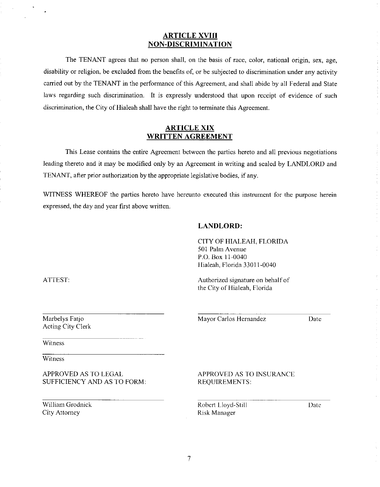#### **ARTICLE XVIII NON-DISCRIMINATION**

The TENANT agrees that no person shall, on the basis of race, color, national origin, sex, age, disability or religion, be excluded from the benefits of, or be subjected to discrimination under any activity carried out by the TENANT in the performance of this Agreement, and shall abide by all Federal and State laws regarding such discrimination. It is expressly understood that upon receipt of evidence of such discrimination, the City of Hialeah shall have the right to terminate this Agreement.

#### **ARTICLE XIX WRITTEN AGREEMENT**

This Lease contains the entire Agreement between the parties hereto and all previous negotiations leading thereto and it may be modified only by an Agreement in writing and sealed by LANDLORD and TENANT, after prior authorization by the appropriate legislative bodies, if any.

WITNESS WHEREOF the parties hereto have hereunto executed this instrument for the purpose herein expressed, the day and year first above written.

#### **LANDLORD:**

CITY OF HIALEAH, FLORIDA 501 Palm Avenue P.O. Box 11-0040 Hialeah, Florida 33011-0040

Authorized signature on behalf of the City of Hialeah, Florida

Mayor Carlos Hemandez

Date

Witness

Marbelys Fatjo Acting City Clerk

Witness

APPROVED AS TO LEGAL SUFFICIENCY AND AS TO FORM:

William Grodnick City Attomey

APPROVED AS TO INSURANCE REQUIREMENTS:

Robert Lloyd-Still Risk Manager

Date

ATTEST: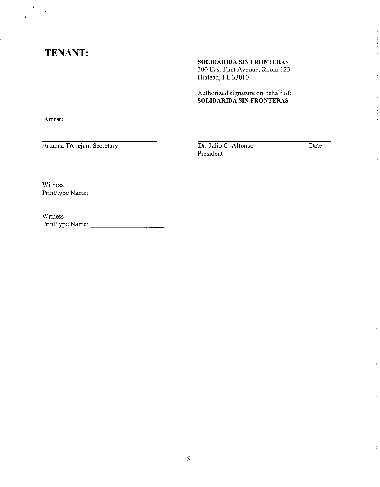# **TENANT:**

#### **SOLIDARIDA SIN FRONTERAS**

300 East First Avenue, Room 123 Hialeah, FL 33010

Authorized signature on behalf of: **SOLIDARIDA SIN FRONTERAS** 

**Attest:** 

 $\lambda$ 

Arianna Torrejon, Secretary

Dr. Julio C. Alfonso President

Date

**Witness** Print/type Name: \_\_\_\_\_\_\_\_\_ \_

Witness<sup></sup> Print/type Name: \_\_\_\_\_\_\_\_\_ \_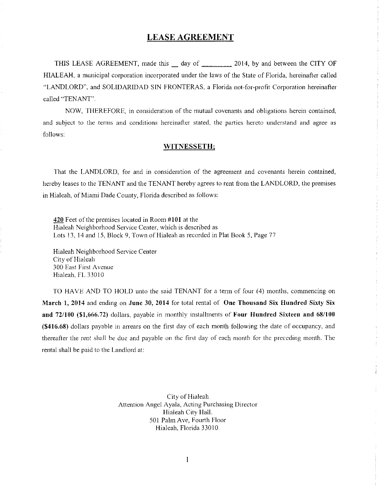#### **LEASE AGREEMENT**

THIS LEASE AGREEMENT, made this day of 2014, by and between the CITY OF HIALEAH, a municipal corporation incorporated under the laws of the State of Florida, hereinafter called "LANDLORD", and SOL!DARIDAD SIN FRONTERAS, a Florida not-for-profit Corporation hereinafter called "TENANT".

NOW, THEREFORE, in consideration of the mutual covenants and obligations herein contained, and subject to the tenns and conditions hereinafter stated, the parties hereto understand and agree as follows:

#### **WITNESSETH;**

That the LANDLORD, for and in consideration of the agreement and covenants herein contained, hereby leases to the TENANT and the TENANT hereby agrees to rent from the LANDLORD, the premises in Hialeah, of Miami Dade County, Florida described as follows:

**420** Feet of the premises located in Room **#101** at the Hialeah Neighborhood Service Center, which is described as Lots 13, 14 and 15, Block 9, Town of Hialeah as recorded in Plat Book 5, Page 77

Hialeah Neighborhood Service Center City of Hialeah 300 East First Avenue Hialeah, FL 33010

TO HAVE AND TO HOLD unto the said TENANT for a term of four (4) months, conunencing on **March 1, 2014** and ending on **June** 30, **2014** for total rental of **One Thousand Six Hundred Sixty Six and 72/100 (\$1,666.72)** dollars, payable in monthly installments of **Four Hundred Sixteen and 68/100 (\$416.68)** dollars payable in arrears on the first day of each month following the date of occupancy, and thereafter the rent shall be due and payable on the first day of each month for the preceding month. The rental shall be paid to the Landlord at:

> City of Hialeah Attention Angel Ayala, Acting Purchasing Director Hialeah City Hall. 501 Palm Ave, Fourth Floor Hialeah, Florida 33010.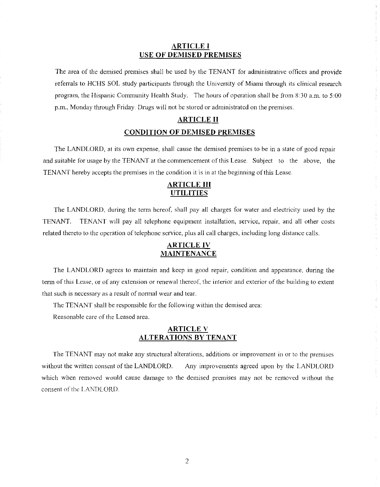#### **ARTICLE I USE OF DEMISED PREMISES**

The area of the demised premises shall be used by the TENANT for administrative offices and provide referrals to HCHS SOL study participants through the University of Miami through its clinical research program, the Hispanic Community Health Study. The hours of operation shall be from 8:30 a.m. to 5:00 p.m., Monday through Friday. Drugs will not be stored or administrated on the premises.

# **ARTICLE II CONDITION OF DEMISED PREMISES**

The LANDLORD, at its own expense, shall cause the demised premises to be in a state of good repair and suitable for usage by the TENANT at the commencement of this Lease. Subject to the above, the TENANT hereby accepts the premises in the condition it is in at the beginning of this Lease.

## **ARTICLE III UTILITIES**

The LANDLORD, during the term hereof, shall pay all charges for water and electricity used by the TENANT. TENANT will pay all telephone equipment installation, service, repair, and all other costs related thereto to the operation of telephone service, plus all call charges, including long distance calls.

# **ARTICLE IV MAINTENANCE**

The LANDLORD agrees to maintain and keep in good repair, condition and appearance, during the term of this Lease, or of any extension or renewal thereof, the interior and exterior of the building to extent that such is necessary as a result of nonnal wear and tear.

The TENANT shall be responsible for the following within the demised area:

Reasonable care of the Leased area.

#### **ARTICLE V ALTERATIONS BY TENANT**

The TENANT may not make any structural alterations, additions or improvement in or to the premises without the written consent of the LANDLORD. Any improvements agreed upon by the LANDLORD which when removed would cause damage to the demised premises may not be removed without the consent of the LANDLORD.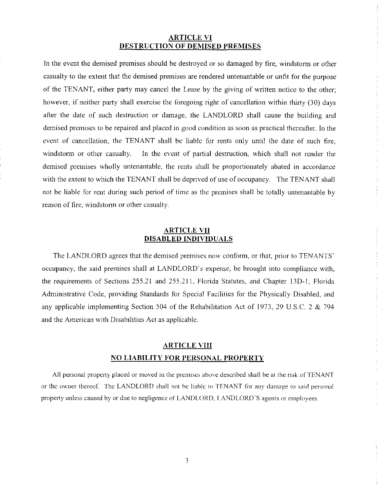#### **ARTICLE VI DESTRUCTION OF DEMISED PREMISES**

In the event the demised premises should be destroyed or so damaged by fire, windstorm or other casualty to the extent that the demised premises are rendered untenantable or unfit for the purpose of the TENANT, either party may cancel the Lease by the giving of written notice to the other; however, if neither party shall exercise the foregoing right of cancellation within thirty (30) days after the date of such destruction or damage, the LANDLORD shall cause the building and demised premises to be repaired and placed in good condition as soon as practical thereafter. In the event of cancellation, the TENANT shall be liable for rents only until the date of such fire. windstorm or other casualty. In the event of partial destruction, which shall not render the demised premises wholly untenantable, the rents shall be proportionately abated in accordance with the extent to which the TENANT shall be deprived of use of occupancy. The TENANT shall not be liable for rent during such period of time as the premises shall be totally untenantable by reason of fire, windstorm or other casualty.

#### **ARTICLE VII DISABLED INDIVIDUALS**

The LANDLORD agrees that the demised premises now conform, or that, prior to TENANTS' occupancy, the said premises shall at LANDLORD's expense, be brought into compliance with, the requirements of Sections 255.21 and 255.211, Florida Statutes, and Chapter !3D-I, Florida Administrative Code, providing Standards for Special Facilities for the Physically Disabled, and any applicable implementing Section 504 of the Rehabilitation Act of 1973, 29 U.S.C. 2 & 794 and the American with Disabilities Act as applicable.

# **ARTICLE VIII NO LIABILITY FOR PERSONAL PROPERTY**

All personal property placed or moved in the premises above described shall be at the risk of TENANT or the owner thereof. The LANDLORD shall not be liable to TENANT for any damage to said personal property unless caused by or due to negligence of LANDLORD. LANDLORD'S agents or employees.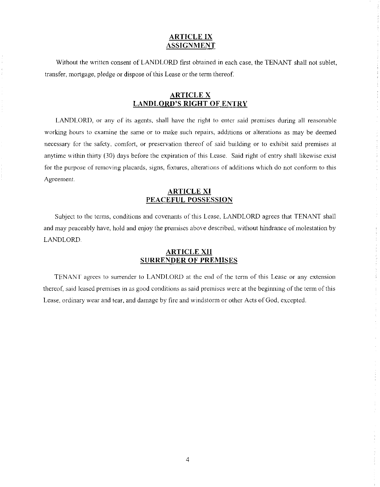#### **ARTICLE IX ASSIGNMENT**

Without the written consent of LANDLORD first obtained in each case, the TENANT shall not sublet, transfer, mortgage, pledge or dispose of this Lease or the term thereof.

### **ARTICLE X LANDLORD'S RIGHT OF ENTRY**

LANDLORD, or any of its agents, shall have the right to enter said premises during all reasonable working hours to examine the same or to make such repairs, additions or alterations as may be deemed necessary for the safety, comfort, or preservation thereof of said building or to exhibit said premises at anytime within thirty (30) days before the expiration of this Lease. Said right of entry shall likewise exist for the purpose of removing placards, signs, fixtures, alterations of additions which do not conform to this Agreement.

#### **ARTICLE XI PEACEFUL POSSESSION**

Subject to the terms, conditions and covenants of this Lease, LANDLORD agrees that TENANT shall and may peaceably have, hold and enjoy the premises above described, without hindrance of molestation by LANDLORD.

#### **ARTICLE XII SURRENDER OF PREMISES**

TENANT agrees to surrender to LANDLORD at the end of the tenn of this Lease or any extension thereof, said leased premises in as good conditions as said premises were at the beginning of the tenn of this Lease, ordinary wear and tear, and damage by fire and windstonn or other Acts of God, excepted.

 $\frac{1}{2}$  ,  $\frac{1}{2}$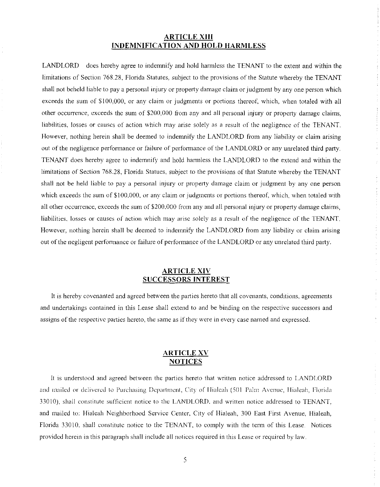#### **ARTICLE XIII INDEMNIFICATION AND HOLD HARMLESS**

LANDLORD does hereby agree to indemnify and hold harmless the TENANT to the extent and within the limitations of Section 768.28, Florida Statutes, subject to the provisions of the Statute whereby the TENANT shall not beheld liable to pay a personal injury or property damage claim or judgment by any one person which exceeds the sum of \$100,000, or any claim or judgments or portions thereof, which, when totaled with all other occurrence, exceeds the sum of \$200,000 from any and all personal injury or property damage claims, liabilities, losses or causes of action which may arise solely as a result of the negligence of the TENANT. However, nothing herein shall be deemed to indemnify the LANDLORD from any liability or claim arising out of the negligence performance or failure of performance of the LANDLORD or any unrelated third party. TENANT does hereby agree to indemnify and hold hannless the LANDLORD to the extend and within the limitations of Section 768.28, Florida Statues, subject to the provisions of that Statute whereby the TENANT shall not be held liable to pay a personal injury or property damage claim or judgment by any one person which exceeds the sum of \$100,000, or any claim or judgments or portions thereof, which, when totaled with all other occurrence, exceeds the sum of \$200.000 from any and all personal injury or property damage claims, liabilities, losses or causes of action which may arise solely as a result of the negligence of the TENANT. However, nothing herein shall be deemed to indemnify the LANDLORD from any liability or claim arising out of the negligent perfonnance or failure of perfonnance of the LANDLORD or any unrelated third party.

#### **ARTICLE XIV SUCCESSORS INTEREST**

It is hereby covenanted and agreed between the parties hereto that all covenants, conditions, agreements and undertakings contained in this Lease shall extend to and be binding on the respective successors and assigns of the respective parties hereto, the same as if they were in every case named and expressed.

#### **ARTICLE XV NOTICES**

It is understood and agreed between the parties hereto that written notice addressed to LANDLORD and mailed or delivered to Purchasing Department, City of Hialeah (501 Palm Avenue, Hialeah, Florida 33010), shall constitute sufficient notice to the LANDLORD. and written notice addressed to TENANT, and mailed to: Hialeah Neighborhood Service Center, City of Hialeah, 300 East First Avenue, Hialeah, Florida 33010, shall constitute notice to the TENANT, to comply with the tenn of this Lease. Notices provided herem in this paragraph shall include all notices required in this Lease or required by law.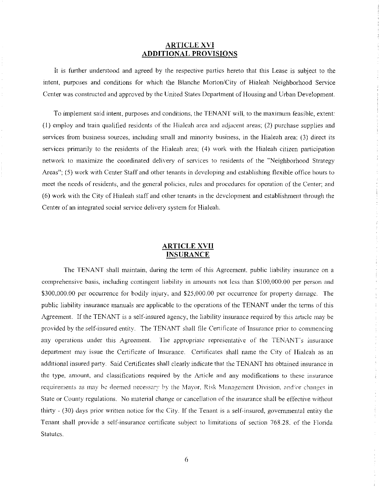### **ARTICLE XVI ADDITIONAL PROVISIONS**

It is further understood and agreed by the respective parties hereto that this Lease is subject to the intent, purposes and conditions for which the Blanche Morton/City of Hialeah Neighborhood Service Center was constructed and approved by the United States Department of Housing and Urban Development.

To implement said intent, purposes and conditions, *the* TENANT will, to the maximum feasible, extent (I) employ and train qualified residents of the Hialeah area and adjacent areas; (2) purchase supplies and services from business sources, including small and minority business, in the Hialeah area; (3) direct its services primarily to the residents of the Hialeah area; (4) work with the Hialeah citizen participation network to maximize the coordinated delivery of services to residents of the "Neighborhood Strategy Areas"; (5) work with Center Staff and other tenants in developing and establishing flexible office hours to meet the needs of residents, and the general policies, rules and procedures for operation of the Center; and (6) work with the City of Hialeah staff and other tenants in the development and establishment through the Center of an integrated social service delivery system for Hialeah.

#### **ARTICLE XVII INSURANCE**

The TENANT shall maintain, during the term of this Agreement. public liability insurance on a comprehensive basis, including contingent liability in amounts not less than \$100,000.00 per person and \$300,000.00 per occurrence for bodily injury, and \$25,000.00 per occurrence for property damage. The public liability insurance manuals are applicable to the operations of the TENANT under the terms of this Agreement. If the TENANT is a self-insured agency, the liability insurance required by this article may be provided by the self-insured entity. The TENANT shall file Certificate of Insurance prior to commencing any operations under this Agreement. The appropriate representative of the TENANT's insurance department may issue the Certificate of Insurance. Certificates shall name the City of Hialeah as an additional insured party. Said Certificates shall clearly indicate that the TENANT has obtained insurance in **the type, amount, and classifications required by the Article and any modifications to these insurance requirements as may be deemed necessary by the Mayor, Risk Management Division, and/or changes in** State or County regulations. No material change or cancellation of the insurance shall be effective without thirty - (30) days prior written notice for the City. If the Tenant is a self-insured, govenunental entity the Tenant shall provide a self-insurance certificate subject to limitations of section 768.28. of the Florida Statutes.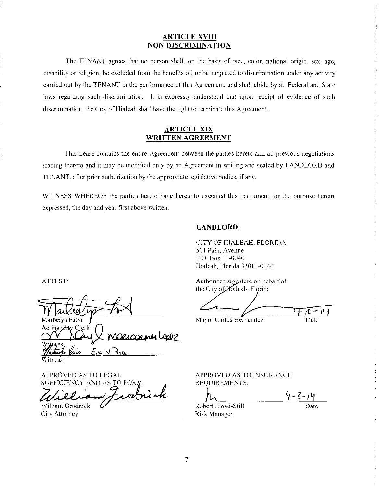#### **ARTICLE XVIII NON-DISCRIMINATION**

The TENANT agrees that no person shall, on the basis of race, color, national origin, sex, age, disability or religion, be excluded from the benefits of, or be subjected to discrimination under any activity carried out by the TENANT in the performance of this Agreement, and shall abide by all Federal and State laws regarding such discrimination. It is expressly understood that upon receipt of evidence of such discrimination, the City of Hialeah shall have the right to tenninate this Agreement.

#### **ARTICLE XIX WRITTEN AGREEMENT**

This Lease contains the entire Agreement between the parties hereto and all previous negotiations leading thereto and it may be modified only by an Agreement in writing and sealed by LANDLORD and TENANT, after prior authorization by the appropriate legislative bodies, if any.

WITNESS WHEREOF the parties hereto have hereunto executed this instrument for the purpose herein expressed, the day and year first above written.

#### **LANDLORD:**

CITY OF HIALEAH, FLORIDA 501 Palm Avenue P.O. Box 11-0040 Hialeah, Florida 33011-0040

Authorized signature on behalf of

 $\left\langle \frac{1}{\sqrt{1-\frac{1}{2}n-1}}\right\rangle$ 

Mayor Carlos Hernandez Date

APPROVED AS TO LEGAL

SUFFICIENCY AND AS TO FORM:<br>Zalielian Frontrick William Grodnick

Olicorner Loop

City Attorney

elvs Fatio

ATTEST:

APPROVED AS TO INSURANCE REQUIREMENTS

 $1 - 3 - 14$ 

Robert Lloyd-Still Risk Manager

Date